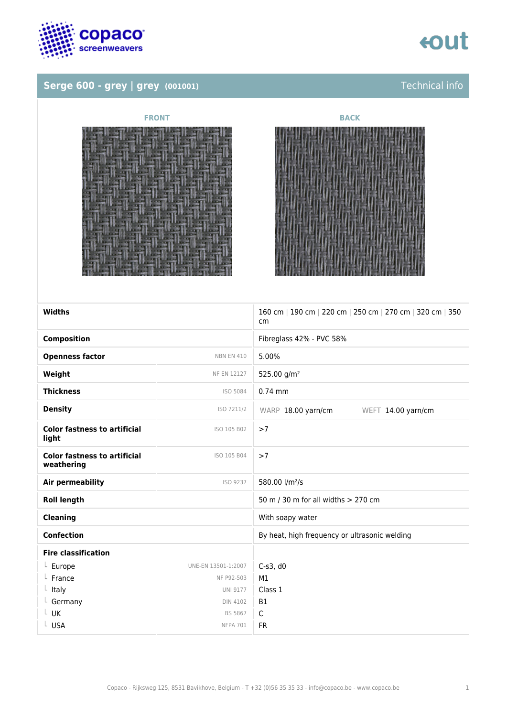

# Serge 600 - grey | grey (001001)







| Widths                                            |                     | 160 cm   190 cm   220 cm   250 cm   270 cm   320 cm   350<br>cm |
|---------------------------------------------------|---------------------|-----------------------------------------------------------------|
| <b>Composition</b>                                |                     | Fibreglass 42% - PVC 58%                                        |
| <b>Openness factor</b>                            | <b>NBN EN 410</b>   | 5.00%                                                           |
| Weight                                            | NF EN 12127         | 525.00 g/m <sup>2</sup>                                         |
| <b>Thickness</b>                                  | ISO 5084            | $0.74$ mm                                                       |
| <b>Density</b>                                    | ISO 7211/2          | WARP 18.00 yarn/cm<br>WEFT 14.00 yarn/cm                        |
| <b>Color fastness to artificial</b><br>light      | ISO 105 B02         | >7                                                              |
| <b>Color fastness to artificial</b><br>weathering | ISO 105 B04         | >7                                                              |
| Air permeability                                  | ISO 9237            | 580.00 l/m <sup>2</sup> /s                                      |
| <b>Roll length</b>                                |                     | 50 m / 30 m for all widths > 270 cm                             |
| <b>Cleaning</b>                                   |                     | With soapy water                                                |
| <b>Confection</b>                                 |                     | By heat, high frequency or ultrasonic welding                   |
| <b>Fire classification</b>                        |                     |                                                                 |
| $L$ Europe                                        | UNE-EN 13501-1:2007 | $C-S3$ , d $0$                                                  |
| France                                            | NF P92-503          | M1                                                              |
| $L$ Italy                                         | <b>UNI 9177</b>     | Class 1                                                         |
| $L$ Germany                                       | <b>DIN 4102</b>     | <b>B1</b>                                                       |
| L UK                                              | <b>BS 5867</b>      | $\mathsf{C}$                                                    |
| L USA                                             | <b>NFPA 701</b>     | <b>FR</b>                                                       |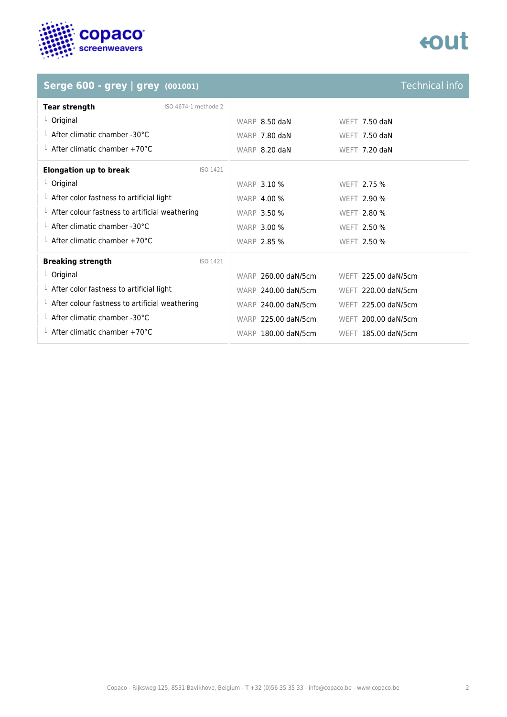

# tout

# **Serge 600 - grey | grey (001001)**

| Technical info |  |
|----------------|--|
|                |  |

| <b>Tear strength</b><br>ISO 4674-1 methode 2           |                     |                      |
|--------------------------------------------------------|---------------------|----------------------|
| $L$ Original                                           | WARP 8.50 daN       | <b>WEFT 7.50 daN</b> |
| $\perp$ After climatic chamber -30°C                   | WARP 7.80 daN       | <b>WEFT 7.50 daN</b> |
| $\perp$ After climatic chamber +70°C                   | WARP 8.20 daN       | WEFT 7.20 daN        |
| <b>Elongation up to break</b><br>ISO 1421              |                     |                      |
| $L$ Original                                           | <b>WARP 3.10 %</b>  | WEFT 2.75 %          |
| $\perp$ After color fastness to artificial light       | <b>WARP 4.00 %</b>  | WEFT 2.90 %          |
| $\perp$ After colour fastness to artificial weathering | <b>WARP 3.50 %</b>  | WEFT 2.80 %          |
| $\perp$ After climatic chamber -30°C                   | <b>WARP 3.00 %</b>  | WEFT 2.50 %          |
| $\perp$ After climatic chamber +70°C                   | <b>WARP 2.85 %</b>  | WEFT 2.50 %          |
| <b>Breaking strength</b><br>ISO 1421                   |                     |                      |
| $L$ Original                                           | WARP 260.00 daN/5cm | WEFT 225.00 daN/5cm  |
| $\perp$ After color fastness to artificial light       | WARP 240.00 daN/5cm | WEFT 220.00 daN/5cm  |
| $\perp$ After colour fastness to artificial weathering | WARP 240.00 daN/5cm | WEFT 225.00 daN/5cm  |
| $\perp$ After climatic chamber -30°C                   | WARP 225.00 daN/5cm | WEFT 200.00 daN/5cm  |
| $\perp$ After climatic chamber +70°C                   | WARP 180.00 daN/5cm | WEFT 185.00 daN/5cm  |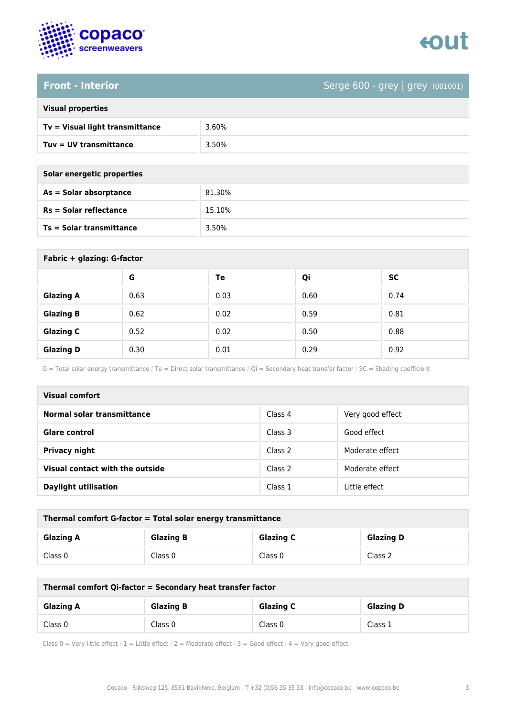



### **Front - Interior** Serge 600 - grey (001001)

| <b>Visual properties</b> |  |  |
|--------------------------|--|--|
|                          |  |  |

| Tv = Visual light transmittance | 3.60% |
|---------------------------------|-------|
| Tuv = UV transmittance          | 3.50% |

**As = Solar absorptance** 81.30%

**Rs = Solar reflectance** 15.10%

| Solar energetic properties |        |
|----------------------------|--------|
| As = Solar absorptance     | 81.30% |
| $Rs = Solar$ reflectance   | 15.109 |
| Ts = Solar transmittance   | 3.50%  |

| Fabric + glazing: G-factor |      |      |      |           |
|----------------------------|------|------|------|-----------|
|                            | G    | Te   | Qi   | <b>SC</b> |
| <b>Glazing A</b>           | 0.63 | 0.03 | 0.60 | 0.74      |
| <b>Glazing B</b>           | 0.62 | 0.02 | 0.59 | 0.81      |
| <b>Glazing C</b>           | 0.52 | 0.02 | 0.50 | 0.88      |
| <b>Glazing D</b>           | 0.30 | 0.01 | 0.29 | 0.92      |

G = Total solar energy transmittance / Te = Direct solar transmittance / Qi = Secondary heat transfer factor / SC = Shading coefficient

| Visual comfort                  |         |                  |
|---------------------------------|---------|------------------|
| Normal solar transmittance      | Class 4 | Very good effect |
| <b>Glare control</b>            | Class 3 | Good effect      |
| <b>Privacy night</b>            | Class 2 | Moderate effect  |
| Visual contact with the outside | Class 2 | Moderate effect  |
| <b>Daylight utilisation</b>     | Class 1 | Little effect    |

| Thermal comfort G-factor = Total solar energy transmittance |                  |                  |                  |
|-------------------------------------------------------------|------------------|------------------|------------------|
| <b>Glazing A</b>                                            | <b>Glazing B</b> | <b>Glazing C</b> | <b>Glazing D</b> |
| Class 0                                                     | Class 0          | Class 0          | Class 2          |

| Thermal comfort Qi-factor = Secondary heat transfer factor |                  |                  |                  |
|------------------------------------------------------------|------------------|------------------|------------------|
| <b>Glazing A</b>                                           | <b>Glazing B</b> | <b>Glazing C</b> | <b>Glazing D</b> |
| Class 0                                                    | Class 0          | Class 0          | Class 1          |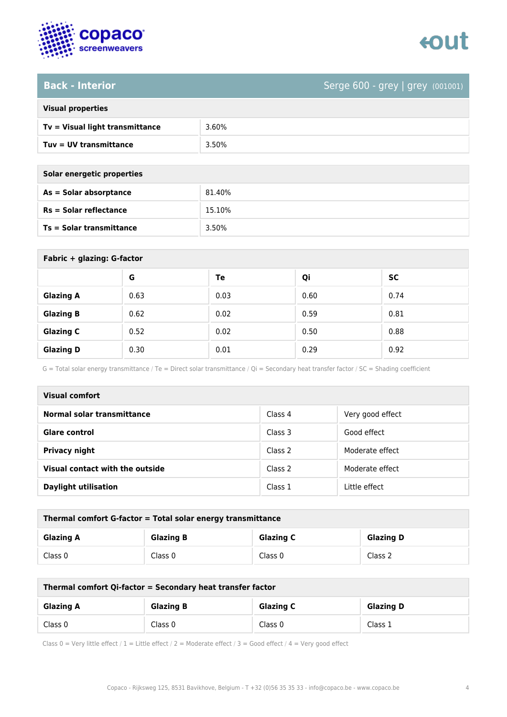

# **Back - Interior** Serge 600 - grey | grey (001001)

| <b>Visual properties</b> |  |
|--------------------------|--|
|                          |  |

| Tv = Visual light transmittance | 3.60% |
|---------------------------------|-------|
| $Tuv = UV$ transmittance        | 3.50% |

**As = Solar absorptance** 81.40%

**Rs = Solar reflectance** 15.10%

| Solar energetic properties |  |
|----------------------------|--|
| As = Solar absorptance     |  |
| $Rs = Solar$ reflectance   |  |
|                            |  |

**Ts = Solar transmittance** 3.50%

| Fabric + glazing: G-factor |      |      |      |           |
|----------------------------|------|------|------|-----------|
|                            | G    | Te   | Qi   | <b>SC</b> |
| <b>Glazing A</b>           | 0.63 | 0.03 | 0.60 | 0.74      |
| <b>Glazing B</b>           | 0.62 | 0.02 | 0.59 | 0.81      |
| <b>Glazing C</b>           | 0.52 | 0.02 | 0.50 | 0.88      |
| <b>Glazing D</b>           | 0.30 | 0.01 | 0.29 | 0.92      |

G = Total solar energy transmittance / Te = Direct solar transmittance / Qi = Secondary heat transfer factor / SC = Shading coefficient

| <b>Visual comfort</b>           |         |                  |  |
|---------------------------------|---------|------------------|--|
| Normal solar transmittance      | Class 4 | Very good effect |  |
| Glare control                   | Class 3 | Good effect      |  |
| <b>Privacy night</b>            | Class 2 | Moderate effect  |  |
| Visual contact with the outside | Class 2 | Moderate effect  |  |
| <b>Daylight utilisation</b>     | Class 1 | Little effect    |  |

| Thermal comfort G-factor = Total solar energy transmittance |                  |                  |                  |
|-------------------------------------------------------------|------------------|------------------|------------------|
| <b>Glazing A</b>                                            | <b>Glazing B</b> | <b>Glazing C</b> | <b>Glazing D</b> |
| Class 0                                                     | Class 0          | Class 0          | Class 2          |

| Thermal comfort Qi-factor = Secondary heat transfer factor |                  |                  |                  |
|------------------------------------------------------------|------------------|------------------|------------------|
| <b>Glazing A</b>                                           | <b>Glazing B</b> | <b>Glazing C</b> | <b>Glazing D</b> |
| Class 0                                                    | Class 0          | Class 0          | Class 1          |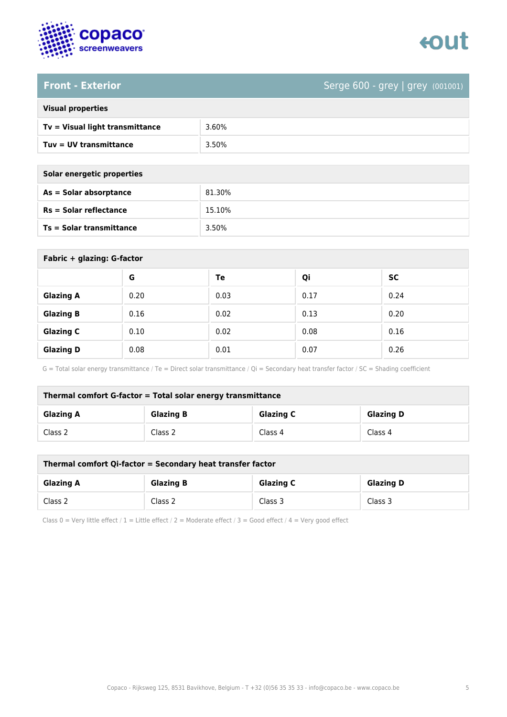



### **Front - Exterior** Serge 600 - grey | grey (001001)

| <b>Visual properties</b> |  |  |
|--------------------------|--|--|
|                          |  |  |

| Tv = Visual light transmittance | 3.60% |
|---------------------------------|-------|
| $Tuv = UV$ transmittance        | 3.50% |

**As = Solar absorptance** 81.30%

**Rs = Solar reflectance** 15.10%

| Solar energetic properties      |        |
|---------------------------------|--------|
| $As = Solar absorption$         | 81.30% |
| $Rs = Solar$ reflectance        | 15.10% |
| <b>Ts = Solar transmittance</b> | 3.50%  |

| Fabric + glazing: G-factor |      |      |      |           |
|----------------------------|------|------|------|-----------|
|                            | G    | Te   | Qi   | <b>SC</b> |
| <b>Glazing A</b>           | 0.20 | 0.03 | 0.17 | 0.24      |
| <b>Glazing B</b>           | 0.16 | 0.02 | 0.13 | 0.20      |
| <b>Glazing C</b>           | 0.10 | 0.02 | 0.08 | 0.16      |
| <b>Glazing D</b>           | 0.08 | 0.01 | 0.07 | 0.26      |

G = Total solar energy transmittance / Te = Direct solar transmittance / Qi = Secondary heat transfer factor / SC = Shading coefficient

| Thermal comfort G-factor = Total solar energy transmittance |                  |                  |                  |
|-------------------------------------------------------------|------------------|------------------|------------------|
| <b>Glazing A</b>                                            | <b>Glazing B</b> | <b>Glazing C</b> | <b>Glazing D</b> |
| Class 2                                                     | Class 2          | Class 4          | Class 4          |

| Thermal comfort Qi-factor = Secondary heat transfer factor |                  |                  |                  |
|------------------------------------------------------------|------------------|------------------|------------------|
| <b>Glazing A</b>                                           | <b>Glazing B</b> | <b>Glazing C</b> | <b>Glazing D</b> |
| Class 2                                                    | Class 2          | Class 3          | Class 3          |